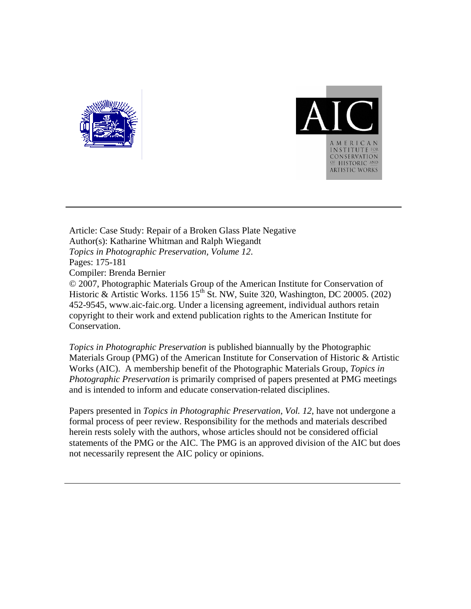



Article: Case Study: Repair of a Broken Glass Plate Negative Author(s): Katharine Whitman and Ralph Wiegandt *Topics in Photographic Preservation, Volume 12*. Pages: 175-181 Compiler: Brenda Bernier © 2007, Photographic Materials Group of the American Institute for Conservation of Historic & Artistic Works. 1156 15<sup>th</sup> St. NW, Suite 320, Washington, DC 20005. (202) 452-9545, www.aic-faic.org. Under a licensing agreement, individual authors retain copyright to their work and extend publication rights to the American Institute for Conservation.

*Topics in Photographic Preservation* is published biannually by the Photographic Materials Group (PMG) of the American Institute for Conservation of Historic & Artistic Works (AIC). A membership benefit of the Photographic Materials Group, *Topics in Photographic Preservation* is primarily comprised of papers presented at PMG meetings and is intended to inform and educate conservation-related disciplines.

Papers presented in *Topics in Photographic Preservation, Vol. 12*, have not undergone a formal process of peer review. Responsibility for the methods and materials described herein rests solely with the authors, whose articles should not be considered official statements of the PMG or the AIC. The PMG is an approved division of the AIC but does not necessarily represent the AIC policy or opinions.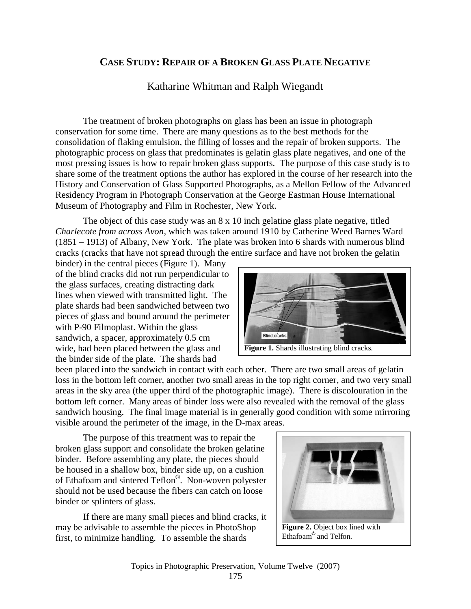# **CASE STUDY: REPAIR OF A BROKEN GLASS PLATE NEGATIVE**

## Katharine Whitman and Ralph Wiegandt

The treatment of broken photographs on glass has been an issue in photograph conservation for some time. There are many questions as to the best methods for the consolidation of flaking emulsion, the filling of losses and the repair of broken supports. The photographic process on glass that predominates is gelatin glass plate negatives, and one of the most pressing issues is how to repair broken glass supports. The purpose of this case study is to share some of the treatment options the author has explored in the course of her research into the History and Conservation of Glass Supported Photographs, as a Mellon Fellow of the Advanced Residency Program in Photograph Conservation at the George Eastman House International Museum of Photography and Film in Rochester, New York.

The object of this case study was an 8 x 10 inch gelatine glass plate negative, titled *Charlecote from across Avon*, which was taken around 1910 by Catherine Weed Barnes Ward (1851 – 1913) of Albany, New York. The plate was broken into 6 shards with numerous blind cracks (cracks that have not spread through the entire surface and have not broken the gelatin

binder) in the central pieces (Figure 1). Many of the blind cracks did not run perpendicular to the glass surfaces, creating distracting dark lines when viewed with transmitted light. The plate shards had been sandwiched between two pieces of glass and bound around the perimeter with P-90 Filmoplast. Within the glass sandwich, a spacer, approximately 0.5 cm wide, had been placed between the glass and the binder side of the plate. The shards had



been placed into the sandwich in contact with each other. There are two small areas of gelatin loss in the bottom left corner, another two small areas in the top right corner, and two very small areas in the sky area (the upper third of the photographic image). There is discolouration in the bottom left corner. Many areas of binder loss were also revealed with the removal of the glass sandwich housing. The final image material is in generally good condition with some mirroring visible around the perimeter of the image, in the D-max areas.

The purpose of this treatment was to repair the broken glass support and consolidate the broken gelatine binder. Before assembling any plate, the pieces should be housed in a shallow box, binder side up, on a cushion of Ethafoam and sintered Teflon© . Non-woven polyester should not be used because the fibers can catch on loose binder or splinters of glass.

If there are many small pieces and blind cracks, it may be advisable to assemble the pieces in PhotoShop first, to minimize handling. To assemble the shards



Ethafoam**©** and Telfon.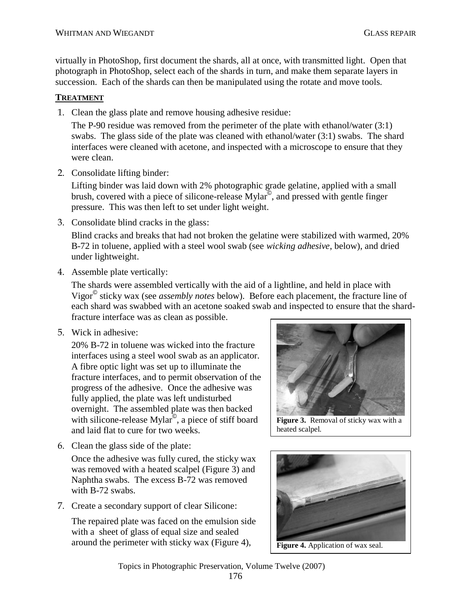virtually in PhotoShop, first document the shards, all at once, with transmitted light. Open that photograph in PhotoShop, select each of the shards in turn, and make them separate layers in succession. Each of the shards can then be manipulated using the rotate and move tools.

### **TREATMENT**

1. Clean the glass plate and remove housing adhesive residue:

The P-90 residue was removed from the perimeter of the plate with ethanol/water (3:1) swabs. The glass side of the plate was cleaned with ethanol/water (3:1) swabs. The shard interfaces were cleaned with acetone, and inspected with a microscope to ensure that they were clean.

2. Consolidate lifting binder:

Lifting binder was laid down with 2% photographic grade gelatine, applied with a small brush, covered with a piece of silicone-release Mylar© , and pressed with gentle finger pressure. This was then left to set under light weight.

3. Consolidate blind cracks in the glass:

Blind cracks and breaks that had not broken the gelatine were stabilized with warmed, 20% B-72 in toluene, applied with a steel wool swab (see *wicking adhesive*, below), and dried under lightweight.

4. Assemble plate vertically:

The shards were assembled vertically with the aid of a lightline, and held in place with Vigor© sticky wax (see *assembly notes* below). Before each placement, the fracture line of each shard was swabbed with an acetone soaked swab and inspected to ensure that the shardfracture interface was as clean as possible.

5. Wick in adhesive:

20% B-72 in toluene was wicked into the fracture interfaces using a steel wool swab as an applicator. A fibre optic light was set up to illuminate the fracture interfaces, and to permit observation of the progress of the adhesive. Once the adhesive was fully applied, the plate was left undisturbed overnight. The assembled plate was then backed with silicone-release Mylar<sup>®</sup>, a piece of stiff board and laid flat to cure for two weeks.

6. Clean the glass side of the plate:

Once the adhesive was fully cured, the sticky wax was removed with a heated scalpel (Figure 3) and Naphtha swabs. The excess B-72 was removed with B-72 swabs.

7. Create a secondary support of clear Silicone:

The repaired plate was faced on the emulsion side with a sheet of glass of equal size and sealed around the perimeter with sticky wax (Figure 4), **Figure 4.** Application of wax seal.



**Figure 3.** Removal of sticky wax with a heated scalpel.

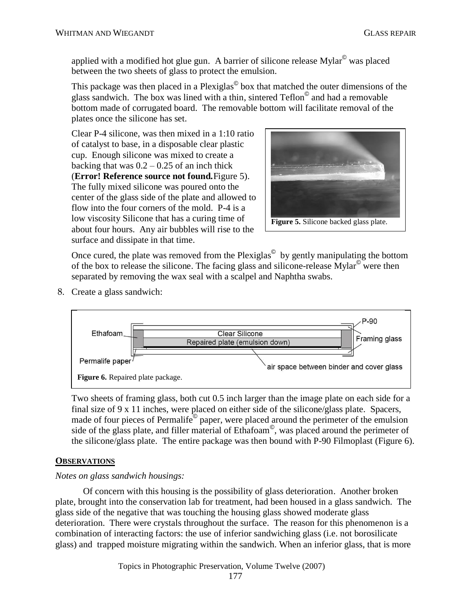applied with a modified hot glue gun. A barrier of silicone release Mylar© was placed between the two sheets of glass to protect the emulsion.

This package was then placed in a Plexiglas<sup>©</sup> box that matched the outer dimensions of the glass sandwich. The box was lined with a thin, sintered Teflon© and had a removable bottom made of corrugated board. The removable bottom will facilitate removal of the plates once the silicone has set.

Clear P-4 silicone, was then mixed in a 1:10 ratio of catalyst to base, in a disposable clear plastic cup. Enough silicone was mixed to create a backing that was  $0.2 - 0.25$  of an inch thick (**Error! Reference source not found.**Figure 5). The fully mixed silicone was poured onto the center of the glass side of the plate and allowed to flow into the four corners of the mold. P-4 is a low viscosity Silicone that has a curing time of about four hours. Any air bubbles will rise to the surface and dissipate in that time.



Once cured, the plate was removed from the Plexiglas $^{\circ}$  by gently manipulating the bottom of the box to release the silicone. The facing glass and silicone-release Mylar<sup>©</sup> were then separated by removing the wax seal with a scalpel and Naphtha swabs.

8. Create a glass sandwich:



Two sheets of framing glass, both cut 0.5 inch larger than the image plate on each side for a final size of 9 x 11 inches, were placed on either side of the silicone/glass plate. Spacers, made of four pieces of Permalife<sup>®</sup> paper, were placed around the perimeter of the emulsion side of the glass plate, and filler material of Ethafoam© , was placed around the perimeter of the silicone/glass plate. The entire package was then bound with P-90 Filmoplast (Figure 6).

#### **OBSERVATIONS**

#### *Notes on glass sandwich housings:*

Of concern with this housing is the possibility of glass deterioration. Another broken plate, brought into the conservation lab for treatment, had been housed in a glass sandwich. The glass side of the negative that was touching the housing glass showed moderate glass deterioration. There were crystals throughout the surface. The reason for this phenomenon is a combination of interacting factors: the use of inferior sandwiching glass (i.e. not borosilicate glass) and trapped moisture migrating within the sandwich. When an inferior glass, that is more

Topics in Photographic Preservation, Volume Twelve (2007)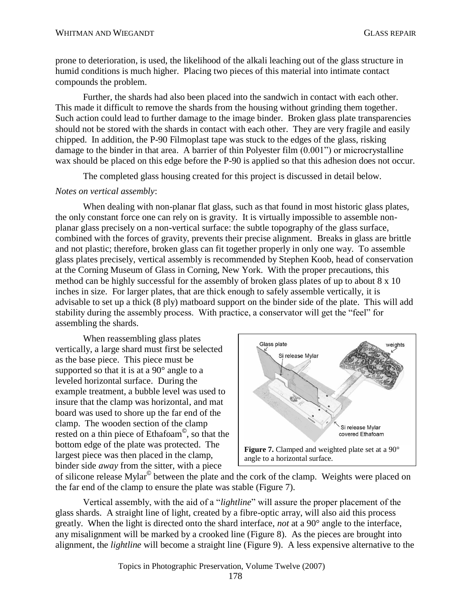prone to deterioration, is used, the likelihood of the alkali leaching out of the glass structure in humid conditions is much higher. Placing two pieces of this material into intimate contact compounds the problem.

Further, the shards had also been placed into the sandwich in contact with each other. This made it difficult to remove the shards from the housing without grinding them together. Such action could lead to further damage to the image binder. Broken glass plate transparencies should not be stored with the shards in contact with each other. They are very fragile and easily chipped. In addition, the P-90 Filmoplast tape was stuck to the edges of the glass, risking damage to the binder in that area. A barrier of thin Polyester film (0.001") or microcrystalline wax should be placed on this edge before the P-90 is applied so that this adhesion does not occur.

The completed glass housing created for this project is discussed in detail below.

#### *Notes on vertical assembly*:

When dealing with non-planar flat glass, such as that found in most historic glass plates, the only constant force one can rely on is gravity. It is virtually impossible to assemble nonplanar glass precisely on a non-vertical surface: the subtle topography of the glass surface, combined with the forces of gravity, prevents their precise alignment. Breaks in glass are brittle and not plastic; therefore, broken glass can fit together properly in only one way. To assemble glass plates precisely, vertical assembly is recommended by Stephen Koob, head of conservation at the Corning Museum of Glass in Corning, New York. With the proper precautions, this method can be highly successful for the assembly of broken glass plates of up to about 8 x 10 inches in size. For larger plates, that are thick enough to safely assemble vertically, it is advisable to set up a thick (8 ply) matboard support on the binder side of the plate. This will add stability during the assembly process. With practice, a conservator will get the "feel" for assembling the shards.

When reassembling glass plates vertically, a large shard must first be selected as the base piece. This piece must be supported so that it is at a 90° angle to a leveled horizontal surface. During the example treatment, a bubble level was used to insure that the clamp was horizontal, and mat board was used to shore up the far end of the clamp. The wooden section of the clamp rested on a thin piece of Ethafoam© , so that the bottom edge of the plate was protected. The largest piece was then placed in the clamp, binder side *away* from the sitter, with a piece



of silicone release Mylar<sup>©</sup> between the plate and the cork of the clamp. Weights were placed on the far end of the clamp to ensure the plate was stable (Figure 7).

Vertical assembly, with the aid of a "*lightline*" will assure the proper placement of the glass shards. A straight line of light, created by a fibre-optic array, will also aid this process greatly. When the light is directed onto the shard interface, *not* at a 90° angle to the interface, any misalignment will be marked by a crooked line (Figure 8). As the pieces are brought into alignment, the *lightline* will become a straight line (Figure 9). A less expensive alternative to the

Topics in Photographic Preservation, Volume Twelve (2007)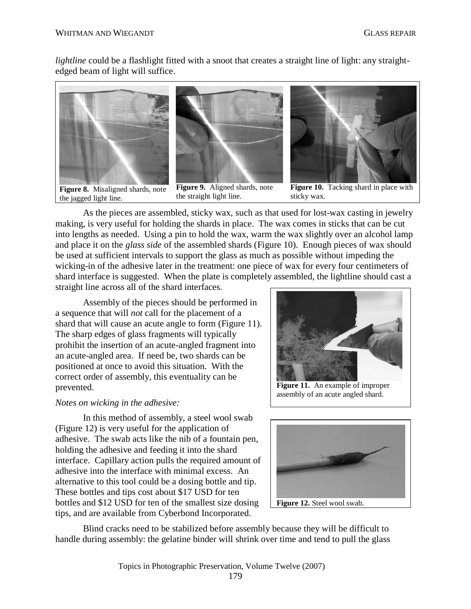*lightline* could be a flashlight fitted with a snoot that creates a straight line of light: any straightedged beam of light will suffice.



the jagged light line.



**Figure 9.** Aligned shards, note the straight light line.



**Figure 10.** Tacking shard in place with sticky wax.

As the pieces are assembled, sticky wax, such as that used for lost-wax casting in jewelry making, is very useful for holding the shards in place. The wax comes in sticks that can be cut into lengths as needed. Using a pin to hold the wax, warm the wax slightly over an alcohol lamp and place it on the *glass side* of the assembled shards (Figure 10). Enough pieces of wax should be used at sufficient intervals to support the glass as much as possible without impeding the wicking-in of the adhesive later in the treatment: one piece of wax for every four centimeters of shard interface is suggested. When the plate is completely assembled, the lightline should cast a straight line across all of the shard interfaces.

Assembly of the pieces should be performed in a sequence that will *not* call for the placement of a shard that will cause an acute angle to form (Figure 11). The sharp edges of glass fragments will typically prohibit the insertion of an acute-angled fragment into an acute-angled area. If need be, two shards can be positioned at once to avoid this situation. With the correct order of assembly, this eventuality can be prevented.

#### *Notes on wicking in the adhesive:*

In this method of assembly, a steel wool swab (Figure 12) is very useful for the application of adhesive. The swab acts like the nib of a fountain pen, holding the adhesive and feeding it into the shard interface. Capillary action pulls the required amount of adhesive into the interface with minimal excess. An alternative to this tool could be a dosing bottle and tip. These bottles and tips cost about \$17 USD for ten bottles and \$12 USD for ten of the smallest size dosing tips, and are available from Cyberbond Incorporated.



**Figure 11.** An example of improper assembly of an acute angled shard.



Blind cracks need to be stabilized before assembly because they will be difficult to handle during assembly: the gelatine binder will shrink over time and tend to pull the glass

Topics in Photographic Preservation, Volume Twelve (2007)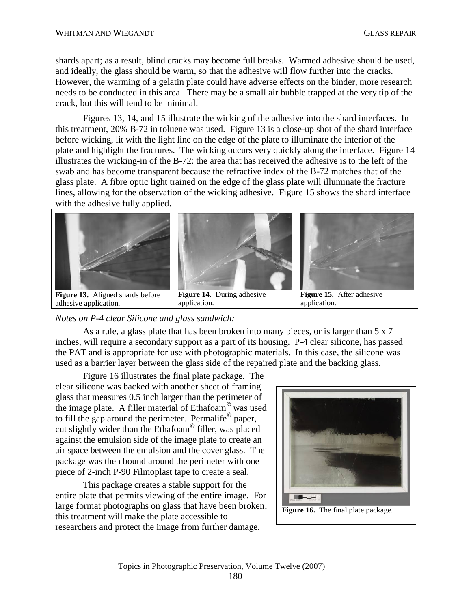shards apart; as a result, blind cracks may become full breaks. Warmed adhesive should be used, and ideally, the glass should be warm, so that the adhesive will flow further into the cracks. However, the warming of a gelatin plate could have adverse effects on the binder, more research needs to be conducted in this area. There may be a small air bubble trapped at the very tip of the crack, but this will tend to be minimal.

Figures 13, 14, and 15 illustrate the wicking of the adhesive into the shard interfaces. In this treatment, 20% B-72 in toluene was used. Figure 13 is a close-up shot of the shard interface before wicking, lit with the light line on the edge of the plate to illuminate the interior of the plate and highlight the fractures. The wicking occurs very quickly along the interface. Figure 14 illustrates the wicking-in of the B-72: the area that has received the adhesive is to the left of the swab and has become transparent because the refractive index of the B-72 matches that of the glass plate. A fibre optic light trained on the edge of the glass plate will illuminate the fracture lines, allowing for the observation of the wicking adhesive. Figure 15 shows the shard interface with the adhesive fully applied.



**Figure 13.** Aligned shards before adhesive application.

**Figure 14.** During adhesive application.

**Figure 15.** After adhesive application.

*Notes on P-4 clear Silicone and glass sandwich:*

As a rule, a glass plate that has been broken into many pieces, or is larger than 5 x 7 inches, will require a secondary support as a part of its housing. P-4 clear silicone, has passed the PAT and is appropriate for use with photographic materials. In this case, the silicone was used as a barrier layer between the glass side of the repaired plate and the backing glass.

Figure 16 illustrates the final plate package. The clear silicone was backed with another sheet of framing glass that measures 0.5 inch larger than the perimeter of the image plate. A filler material of Ethafoam© was used to fill the gap around the perimeter. Permalife $^{\circ}$  paper, cut slightly wider than the Ethafoam© filler, was placed against the emulsion side of the image plate to create an air space between the emulsion and the cover glass. The package was then bound around the perimeter with one piece of 2-inch P-90 Filmoplast tape to create a seal.

This package creates a stable support for the entire plate that permits viewing of the entire image. For large format photographs on glass that have been broken, this treatment will make the plate accessible to researchers and protect the image from further damage.